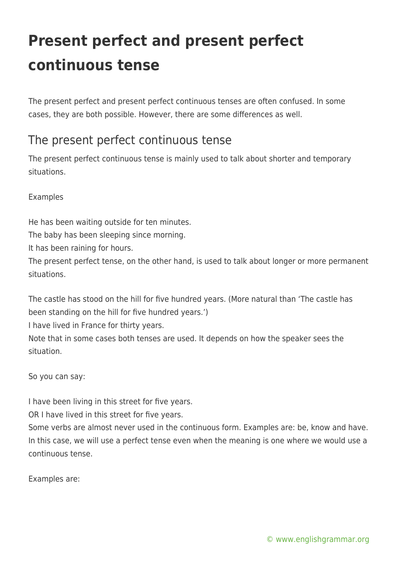## **Present perfect and present perfect continuous tense**

The present perfect and present perfect continuous tenses are often confused. In some cases, they are both possible. However, there are some differences as well.

## The present perfect continuous tense

The present perfect continuous tense is mainly used to talk about shorter and temporary situations.

Examples

He has been waiting outside for ten minutes.

The baby has been sleeping since morning.

It has been raining for hours.

The present perfect tense, on the other hand, is used to talk about longer or more permanent situations.

The castle has stood on the hill for five hundred years. (More natural than 'The castle has been standing on the hill for five hundred years.')

I have lived in France for thirty years.

Note that in some cases both tenses are used. It depends on how the speaker sees the situation.

So you can say:

I have been living in this street for five years.

OR I have lived in this street for five years.

Some verbs are almost never used in the continuous form. Examples are: be, know and have. In this case, we will use a perfect tense even when the meaning is one where we would use a continuous tense.

Examples are: